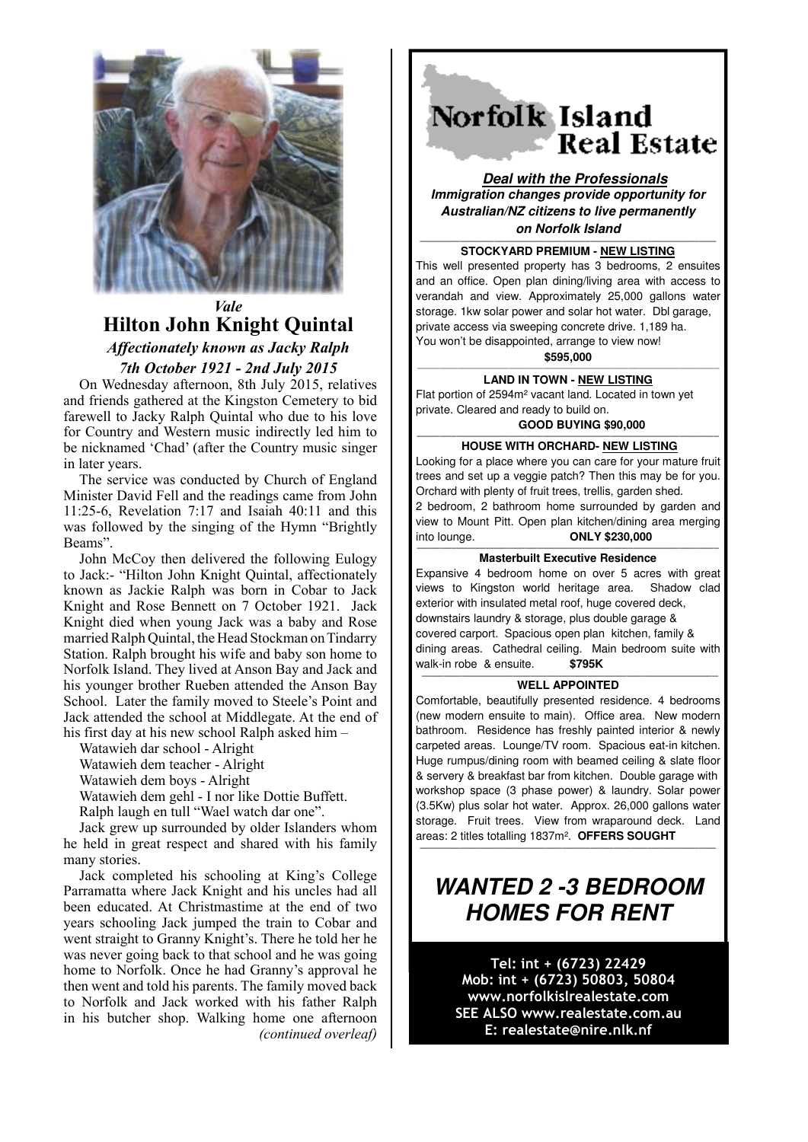

# *Vale* **Hilton John Knight Quintal**

*Affectionately known as Jacky Ralph 7th October 1921 - 2nd July 2015*

On Wednesday afternoon, 8th July 2015, relatives and friends gathered at the Kingston Cemetery to bid farewell to Jacky Ralph Quintal who due to his love for Country and Western music indirectly led him to be nicknamed 'Chad' (after the Country music singer in later years.

The service was conducted by Church of England Minister David Fell and the readings came from John 11:25-6, Revelation 7:17 and Isaiah 40:11 and this was followed by the singing of the Hymn "Brightly Beams".

John McCoy then delivered the following Eulogy to Jack:- "Hilton John Knight Quintal, affectionately known as Jackie Ralph was born in Cobar to Jack Knight and Rose Bennett on 7 October 1921. Jack Knight died when young Jack was a baby and Rose married Ralph Quintal, the Head Stockman on Tindarry Station. Ralph brought his wife and baby son home to Norfolk Island. They lived at Anson Bay and Jack and his younger brother Rueben attended the Anson Bay School. Later the family moved to Steele's Point and Jack attended the school at Middlegate. At the end of his first day at his new school Ralph asked him –

Watawieh dar school - Alright

Watawieh dem teacher - Alright

Watawieh dem boys - Alright

Watawieh dem gehl - I nor like Dottie Buffett.

Ralph laugh en tull "Wael watch dar one".

Jack grew up surrounded by older Islanders whom he held in great respect and shared with his family many stories.

Jack completed his schooling at King's College Parramatta where Jack Knight and his uncles had all been educated. At Christmastime at the end of two years schooling Jack jumped the train to Cobar and went straight to Granny Knight's. There he told her he was never going back to that school and he was going home to Norfolk. Once he had Granny's approval he then went and told his parents. The family moved back to Norfolk and Jack worked with his father Ralph in his butcher shop. Walking home one afternoon *(continued overleaf)* Norfolk Island **Real Estate** 

**Deal with the Professionals Immigration changes provide opportunity for Australian/NZ citizens to live permanently on Norfolk Island**

## **MARKLE AND AREA PREMIUM - NEW LISTING**

This well presented property has 3 bedrooms, 2 ensuites and an office. Open plan dining/living area with access to verandah and view. Approximately 25,000 gallons water storage. 1kw solar power and solar hot water. Dbl garage, private access via sweeping concrete drive. 1,189 ha. You won't be disappointed, arrange to view now!

**\$595,000** —————————————————————————————————————————————————————

**LAND IN TOWN - NEW LISTING**

Flat portion of 2594m² vacant land. Located in town yet private. Cleared and ready to build on.

**GOOD BUYING \$90,000** 

### **HOUSE WITH ORCHARD- NEW LISTING**

Looking for a place where you can care for your mature fruit trees and set up a veggie patch? Then this may be for you. Orchard with plenty of fruit trees, trellis, garden shed. 2 bedroom, 2 bathroom home surrounded by garden and view to Mount Pitt. Open plan kitchen/dining area merging into lounge. **ONLY \$230,000** 

**Masterbuilt Executive Residence**  Expansive 4 bedroom home on over 5 acres with great views to Kingston world heritage area. Shadow clad exterior with insulated metal roof, huge covered deck, downstairs laundry & storage, plus double garage & covered carport. Spacious open plan kitchen, family & dining areas. Cathedral ceiling. Main bedroom suite with walk-in robe & ensuite. **\$795K**

#### **———————————————————————————————————————————————————— WELL APPOINTED**

Comfortable, beautifully presented residence. 4 bedrooms (new modern ensuite to main). Office area. New modern bathroom. Residence has freshly painted interior & newly carpeted areas. Lounge/TV room. Spacious eat-in kitchen. Huge rumpus/dining room with beamed ceiling & slate floor & servery & breakfast bar from kitchen. Double garage with workshop space (3 phase power) & laundry. Solar power (3.5Kw) plus solar hot water. Approx. 26,000 gallons water storage. Fruit trees. View from wraparound deck. Land areas: 2 titles totalling 1837m². **OFFERS SOUGHT**

# **WANTED 2 -3 BEDROOM HOMES FOR RENT**

**————————————————————————————————————————————————————**

Tel: int + (6723) 22429 Mob: int + (6723) 50803, 50804 www.norfolkislrealestate.com SEE ALSO www.realestate.com.au E: realestate@nire.nlk.nf